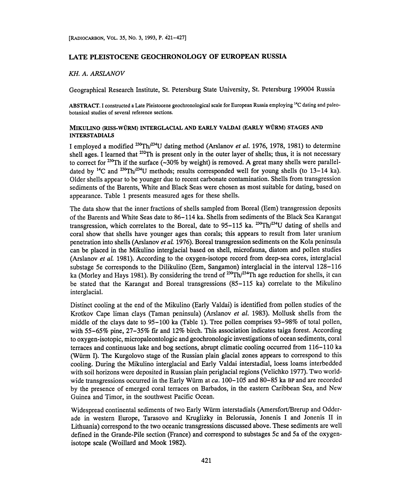# LATE PLEISTOCENE GEOCHRONOLOGY OF EUROPEAN RUSSIA

#### KH. A. ARSLANOV

Geographical Research Institute, St. Petersburg State University, St. Petersburg 199004 Russia

ABSTRACT. I constructed a Late Pleistocene geochronological scale for European Russia employing <sup>14</sup>C dating and paleobotanical studies of several reference sections.

### MIKULIN0 (RISS-WURM) INTERGLACIAL AND EARLY VALDAI (EARLY WURM) STAGES AND INTERSTADIALS

I employed a modified <sup>230</sup>Th/<sup>234</sup>U dating method (Arslanov *et al.* 1976, 1978, 1981) to determine shell ages. I learned that <sup>232</sup>Th is present only in the outer layer of shells; thus, it is not necessary to correct for <sup>230</sup>Th if the surface  $\left(\sim 30\%$  by weight) is removed. A great many shells were paralleldated by <sup>14</sup>C and <sup>230</sup>Th/<sup>234</sup>U methods; results corresponded well for young shells (to 13–14 ka). Older shells appear to be younger due to recent carbonate contamination. Shells from transgression sediments of the Barents, White and Black Seas were chosen as most suitable for dating, based on appearance. Table 1 presents measured ages for these shells.

The data show that the inner fractions of shells sampled from Boreal (Eem) transgression deposits of the Barents and White Seas date to 86-114 ka. Shells from sediments of the Black Sea Karangat transgression, which correlates to the Boreal, date to  $95-115$  ka. <sup>230</sup>Th/<sup>234</sup>U dating of shells and coral show that shells have younger ages than corals; this appears to result from later uranium penetration into shells (Arslanov et al. 1976). Boreal transgression sediments on the Kola peninsula can be placed in the Mikulino interglacial based on shell, microfauna, diatom and pollen studies (Arslanov et al. 1981). According to the oxygen-isotope record from deep-sea cores, interglacial substage 5e corresponds to the Dilikulino (Eem, Sangamon) interglacial in the interval 128-116 ka (Morley and Hays 1981). By considering the trend of <sup>230</sup>Th/<sup>234</sup>Th age reduction for shells, it can be stated that the Karangat and Boreal transgressions (85-115 ka) correlate to the Mikulino interglacial.

Distinct cooling at the end of the Mikulino (Early Valdai) is identified from pollen studies of the Krotkov Cape liman clays (Taman peninsula) (Arslanov et al. 1983). Mollusk shells from the middle of the clays date to 95-100 ka (Table 1). Tree pollen comprises 93-98% of total pollen, with 55-65% pine, 27-35% fir and 12% birch. This association indicates taiga forest. According to oxygen-isotopic, micropaleontologic and geochronologic investigations of ocean sediments, coral terraces and continuous lake and bog sections, abrupt climatic cooling occurred from 116-110 ka (Würm I). The Kurgolovo stage of the Russian plain glacial zones appears to correspond to this cooling. During the Mikulino interglacial and Early Valdai interstadial, loess loams interbedded with soil horizons were deposited in Russian plain periglacial regions (Velichko 1977). Two worldwide transgressions occurred in the Early Würm at ca. 100–105 and 80–85 ka BP and are recorded by the presence of emerged coral terraces on Barbados, in the eastern Caribbean Sea, and New Guinea and Timor, in the southwest Pacific Ocean.

Widespread continental sediments of two Early Wurm interstadials (Amersfort/Brerup and Odderade in western Europe, Tarasovo and Kruglizky in Belorussia, Jonenis I and Jonenis II in Lithuania) correspond to the two oceanic transgressions discussed above. These sediments are well defined in the Grande-Pile section (France) and correspond to substages 5c and 5a of the oxygenisotope scale (Woillard and Mook 1982).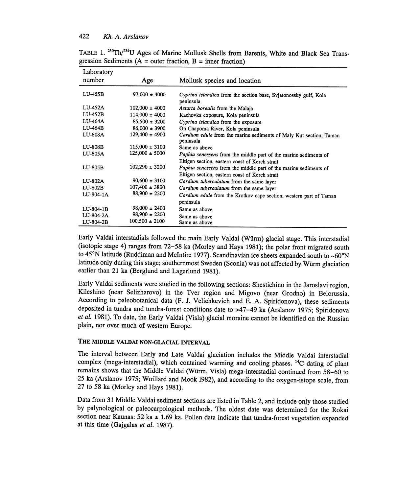## 422 Kh. A. Arslanov

| Laboratory     |                    |                                                                                                                                                                      |  |
|----------------|--------------------|----------------------------------------------------------------------------------------------------------------------------------------------------------------------|--|
| number         | Age                | Mollusk species and location                                                                                                                                         |  |
| LU-455B        | $97,000 \pm 4000$  | Cyprina islandica from the section base, Svjatonossky gulf, Kola<br>peninsula                                                                                        |  |
| LU-452A        | $102,000 \pm 4000$ | Astarta borealis from the Malaja                                                                                                                                     |  |
| LU-452B        | $114,000 \pm 4000$ | Kachovka exposure, Kola peninsula                                                                                                                                    |  |
| LU-464A        | $85,500 \pm 3200$  | Cyprina islandica from the exposure                                                                                                                                  |  |
| LU-464B        | $86,000 \pm 3900$  | On Chapoma River, Kola peninsula                                                                                                                                     |  |
| <b>LU-808A</b> | $129,400 \pm 4900$ | Cardium edule from the marine sediments of Maly Kut section, Taman<br>peninsula                                                                                      |  |
| <b>LU-808B</b> | $115,000 \pm 3100$ | Same as above                                                                                                                                                        |  |
| LU-805A        | $125,000 \pm 5000$ | Paphia senessens from the middle part of the marine sediments of                                                                                                     |  |
| LU-805B        | $102,290 \pm 3200$ | Eltigen section, eastern coast of Kerch strait<br>Paphia senessens from the middle part of the marine sediments of<br>Eltigen section, eastern coast of Kerch strait |  |
| LU-802A        | $90,600 \pm 3100$  | Cardium tuberculatum from the same layer                                                                                                                             |  |
| $LU-802B$      | $107,400 \pm 3800$ | Cardium tuberculatum from the same layer                                                                                                                             |  |
| LU-804-1A      | $88,900 \pm 2200$  | Cardium edule from the Krotkov cape section, western part of Taman                                                                                                   |  |
|                |                    | peninsula                                                                                                                                                            |  |
| LU-804-1B      | $98,000 \pm 2400$  | Same as above                                                                                                                                                        |  |
| LU-804-2A      | $98,900 \pm 2200$  | Same as above                                                                                                                                                        |  |
| LU-804-2B      | $100,500 \pm 2100$ | Same as above                                                                                                                                                        |  |

TABLE 1. <sup>230</sup>Th/<sup>234</sup>U Ages of Marine Mollusk Shells from Barents, White and Black Sea Transgression Sediments ( $A =$  outer fraction,  $B =$  inner fraction)

Early Valdai interstadials followed the main Early Valdai (Würm) glacial stage. This interstadial (isotopic stage 4) ranges from 72-58 ka (Morley and Hays 1981); the polar front migrated south to 45°N latitude (Ruddiman and McIntire 1977). Scandinavian ice sheets expanded south to ~60°N latitude only during this stage; southernmost Sweden (Sconia) was not affected by Würm glaciation earlier than 21 ka (Berglund and Lagerlund 1981).

Early Valdai sediments were studied in the following sections: Shestichino in the Jaroslavi region, Kileshino (near Selizharovo) in the Tver region and Migovo (near Grodno) in Belorussia. According to paleobotanical data (F. J. Velichkevich and E. A. Spiridonova), these sediments deposited in tundra and tundra-forest conditions date to >47-49 ka (Arslanov 1975; Spiridonova et al. 1981). To date, the Early Valdai (Visla) glacial moraine cannot be identified on the Russian plain, nor over much of western Europe.

## THE MIDDLE VALDAI NON-GLACIAL INTERVAL

The interval between Early and Late Valdai glaciation includes the Middle Valdai interstadial complex (mega-interstadial), which contained warming and cooling phases. 14C dating of plant remains shows that the Middle Valdai (Würm, Visla) mega-interstadial continued from 58-60 to 25 ka (Arslanov 1975; Woillard and Mook 1982), and according to the oxygen-istope scale, from 27 to 58 ka (Morley and Hays 1981).

Data from 31 Middle Valdai sediment sections are listed in Table 2, and include only those studied by palynological or paleocarpological methods. The oldest date was determined for the Rokai section near Kaunas: 52 ka  $\pm$  1.69 ka. Pollen data indicate that tundra-forest vegetation expanded at this time (Gajgalas et al. 1987).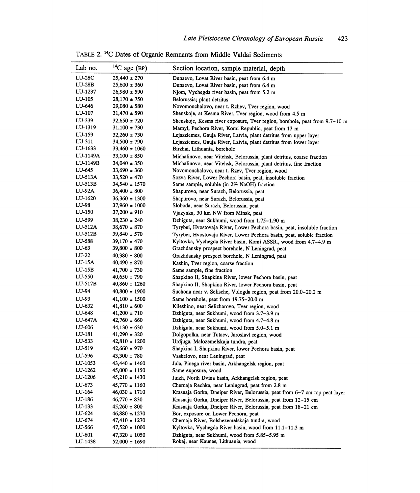| Lab no.       | $14C$ age (BP)    | Section location, sample material, depth                                   |  |
|---------------|-------------------|----------------------------------------------------------------------------|--|
| <b>LU-28C</b> | $25,440 \pm 270$  | Dunaevo, Lovat River basin, peat from 6.4 m                                |  |
| $LU-28B$      | $25,600 \pm 360$  | Dunaevo, Lovat River basin, peat from 6.4 m                                |  |
| LU-1237       | $26,980 \pm 590$  | Njom, Vychegda river basin, peat from 5.2 m                                |  |
| LU-105        | $28,170 \pm 750$  | Belorussia; plant detritus                                                 |  |
| LU-646        | $29,080 \pm 580$  | Novomonchalovo, near t. Rzhev, Tver region, wood                           |  |
| LU-107        | $31,470 \pm 590$  | Shenskoje, at Kesma River, Tver region, wood from 4.5 m                    |  |
| LU-339        | $32,650 \pm 720$  | Shenskoje, Kesma river exposure, Tver region, borehole, peat from 9.7-10 m |  |
| LU-1319       | $31,100 \pm 730$  | Mamyl, Pechora River, Komi Republic, peat from 13 m                        |  |
| LU-159        | $32,260 \pm 730$  | Lejasziemes, Gauja River, Latvia, plant detritus from upper layer          |  |
| LU-311        | $34,500 \pm 790$  | Lejasziemes, Gauja River, Latvia, plant detritus from lower layer          |  |
| LU-1633       | $33,460 \pm 1060$ | Birzhai, Lithuania, borehole                                               |  |
| LU-1149A      | $33,100 \pm 850$  | Michalinovo, near Vitehsk, Belorussia, plant detritus, coarse fraction     |  |
| LU-1149B      | $34,040 \pm 350$  | Michalinovo, near Vitehsk, Belorussia, plant detritus, fine fraction       |  |
| LU-645        | $33,690 \pm 360$  | Novomonchalovo, near t. Rzev, Tver region, wood                            |  |
| $LU-513A$     | $33,520 \pm 470$  | Sozva River, Lower Pechora basin, peat, insoluble fraction                 |  |
| $LU-513B$     | 34,540 ± 1570     | Same sample, soluble (in 2% NaOH) fraction                                 |  |
| $LU-92A$      | $36,400 \pm 800$  | Shapurovo, near Surazh, Belorussia, peat                                   |  |
| LU-1620       | $36,360 \pm 1300$ | Shapurovo, near Surazh, Belorussia, peat                                   |  |
| LU-98         | $37,960 \pm 1000$ | Sloboda, near Surazh, Belorussia, peat                                     |  |
| LU-150        | $37,200 \pm 910$  | Vjazynka, 30 km NW from Minsk, peat                                        |  |
| LU-599        | $38,230 \pm 240$  | Dzhiguta, near Sukhumi, wood from 1.75-1.90 m                              |  |
| LU-512A       | 38,670 ± 870      | Tyrybei, Hvostovaja River, Lower Pechora basin, peat, insoluble fraction   |  |
| $LU-512B$     | 39,840 ± 570      | Tyrybei, Hvostovaja River, Lower Pechora basin, peat, soluble fraction     |  |
| LU-588        | 39,170 ± 470      | Kyltovka, Vychegda River basin, Komi ASSR., wood from 4.7-4.9 m            |  |
| LU-63         | $39,800 \pm 800$  | Grazhdansky prospect borehole, N Leningrad, peat                           |  |
| LU-22         | $40,380 \pm 800$  | Grazhdansky prospect borehole, N Leningrad, peat                           |  |
| $LU-15A$      | 40,490 ± 870      | Kashin, Tver region, coarse fraction                                       |  |
| $LU-15B$      | $41,700 \pm 730$  | Same sample, fine fraction                                                 |  |
| LU-550        | 40,650 ± 790      | Shapkino II, Shapkina River, lower Pechora basin, peat                     |  |
| $LU-517B$     | 40,860 ± 1260     | Shapkino II, Shapkina River, lower Pechora basin, peat                     |  |
| LU-94         | $40,800 \pm 1900$ | Suchona near v. Selische, Vologda region, peat from 20.0–20.2 m            |  |
| LU-93         | $41,100 \pm 1500$ | Same borehole, peat from 19.75-20.0 m                                      |  |
| LU-632        | $41,810 \pm 600$  | Kileshino, near Selizharovo, Tver region, wood                             |  |
| LU-648        | $41,200 \pm 710$  | Dzhiguta, near Sukhumi, wood from 3.7–3.9 m                                |  |
| LU-647A       | $42,760 \pm 660$  | Dzhiguta, near Sukhumi, wood from 4.7-4.8 m                                |  |
| LU-606        | $44,130 \pm 630$  | Dzhiguta, near Sukhumi, wood from 5.0-5.1 m                                |  |
| LU-181        | $41,290 \pm 320$  | Dolgopolka, near Tutaev, Jaroslavl region, wood                            |  |
| LU-533        | 42,810 ± 1200     | Urdjuga, Malozemelskaja tundra, peat                                       |  |
| LU-519        | $42,660 \pm 970$  | Shapkina I, Shapkina River, lower Pechora basin, peat                      |  |
| LU-596        | $43,300 \pm 780$  | Vaskelovo, near Leningrad, peat                                            |  |
| LU-1053       | 43,440 ± 1460     | Jula, Pinega river basin, Arkhangelsk region, peat                         |  |
| LU-1262       | $45,000 \pm 1150$ | Same exposure, wood                                                        |  |
| LU-1206       | $45,210 \pm 1430$ | Juizh, North Dvina basin, Arkhangelsk region, peat                         |  |
| LU-673        | 45,770 ± 1160     | Chernaja Rechka, near Leningrad, peat from 2.8 m                           |  |
| LU-164        | $46,030 \pm 1710$ | Krasnaja Gorka, Dneiper River, Belorussia, peat from 6-7 cm top peat layer |  |
| LU-186        | $46,770 \pm 830$  | Krasnaja Gorka, Dneiper River, Belorussia, peat from 12-15 cm              |  |
| LU-133        | $45,260 \pm 800$  | Krasnaja Gorka, Dneiper River, Belorussia, peat from 18-21 cm              |  |
| LU-624        | $46,880 \pm 1270$ | Bor, exposure on Lower Pechora, peat                                       |  |
| LU-674        | 47,410 ± 1270     | Chernaja River, Bolshezemelskaja tundra, wood                              |  |
| LU-566        | $47,520 \pm 1000$ | Kyltovka, Vychegda River basin, wood from 11.1-11.3 m                      |  |
| LU-601        | $47,320 \pm 1050$ | Dzhiguta, near Sukhumi, wood from 5.85–5.95 m                              |  |
| LU-1438       | $52,000 \pm 1690$ | Rokaj, near Kaunas, Lithuania, wood                                        |  |

TABLE 2.14C Dates of Organic Remnants from Middle Valdai Sediments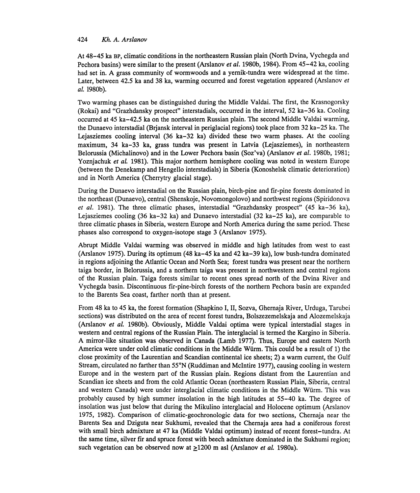## 424 Kh. A. Arslanov

At 48-45 ka BP, climatic conditions in the northeastern Russian plain (North Dvina, Vychegda and Pechora basins) were similar to the present (Arslanov *et al.* 1980b, 1984). From 45–42 ka, cooling had set in. A grass community of wormwoods and a yernik-tundra were widespread at the time. Later, between 42.5 ka and 38 ka, warming occurred and forest vegetation appeared (Arslanov et a!. 1980b).

Two warming phases can be distinguished during the Middle Valdai. The first, the Krasnogorsky (Rokai) and "Grazhdansky prospect" interstadials, occurred in the interval, 52 ka-36 ka. Cooling occurred at 45 ka-42.5 ka on the northeastern Russian plain. The second Middle Valdai warming, the Dunaevo interstadial (Brjansk interval in periglacial regions) took place from 32 ka-25 ka. The Lejasziemes cooling interval (36 ka-32 ka) divided these two warm phases. At the cooling maximum, 34 ka-33 ka, grass tundra was present in Latvia (Lejasziemes), in northeastern Belorussia (Michalinovo) and in the Lower Pechora basin (Soz'va) (Arslanov *et al.* 1980b, 1981; Yoznjachuk et al. 1981). This major northern hemisphere cooling was noted in western Europe (between the Denekamp and Hengello interstadials) in Siberia (Konoshelsk climatic deterioration) and in North America (Cherrytry glacial stage).

During the Dunaevo interstadial on the Russian plain, birch-pine and fir-pine forests dominated in the northeast (Dunaevo), central (Shenskoje, Novomongolovo) and northwest regions (Spiridonova et al. 1981). The three climatic phases, interstadial "Grazhdansky prospect" (45 ka-36 ka), Lejasziemes cooling (36 ka-32 ka) and Dunaevo interstadial (32 ka-25 ka), are comparable to three climatic phases in Siberia, western Europe and North America during the same period. These phases also correspond to oxygen-isotope stage 3 (Arslanov 1975).

Abrupt Middle Valdai warming was observed in middle and high latitudes from west to east (Arslanov 1975). During its optimum (48 ka-45 ka and 42 ka-39 ka), low bush-tundra dominated in regions adjoining the Atlantic Ocean and North Sea; forest tundra was present near the northern taiga border, in Belorussia, and a northern taiga was present in northwestern and central regions of the Russian plain. Taiga forests similar to recent ones spread north of the Dvina River and Vychegda basin. Discontinuous fir-pine-birch forests of the northern Pechora basin are expanded to the Barents Sea coast, farther north than at present.

From 48 ka to 45 ka, the forest formation (Shapkino I, II, Sozva, Ghernaja River, Urduga, Tarubei sections) was distributed on the area of recent forest tundra, Bolszezemelskaja and Alozemelskaja (Arslanov et al. 1980b). Obviously, Middle Valdai optima were typical interstadial stages in western and central regions of the Russian Plain. The interglacial is termed the Kargino in Siberia. A mirror-like situation was observed in Canada (Lamb 1977). Thus, Europe and eastern North America were under cold climatic conditions in the Middle Würm. This could be a result of 1) the close proximity of the Laurentian and Scandian continental ice sheets; 2) a warm current, the Gulf Stream, circulated no farther than 55°N (Ruddiman and McIntire 1977), causing cooling in western Europe and in the western part of the Russian plain. Regions distant from the Laurentian and Scandian ice sheets and from the cold Atlantic Ocean (northeastern Russian Plain, Siberia, central and western Canada) were under interglacial climatic conditions in the Middle Wurm. This was probably caused by high summer insolation in the high latitudes at 55-40 ka. The degree of insolation was just below that during the Mikulino interglacial and Holocene optimum (Arslanov 1975, 1982). Comparison of climatic-geochronologic data for two sections, Chernaja near the Barents Sea and Dziguta near Sukhumi, revealed that the Chernaja area had a coniferous forest with small birch admixture at 47 ka (Middle Valdai optimum) instead of recent forest-tundra. At the same time, silver fir and spruce forest with beech admixture dominated in the Sukhumi region; such vegetation can be observed now at  $\geq 1200$  m asl (Arslanov *et al.* 1980a).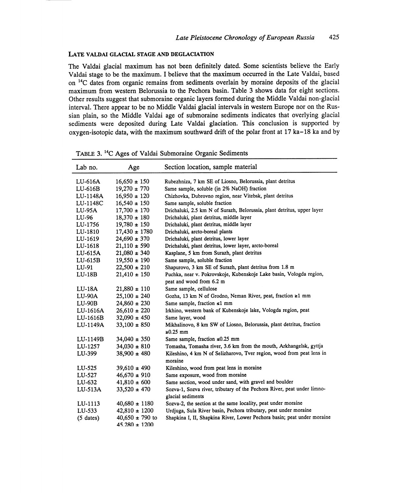#### LATE VALDAI GLACIAL STAGE AND DEGLACIATION

The Valdai glacial maximum has not been definitely dated. Some scientists believe the Early Valdai stage to be the maximum. I believe that the maximum occurred in the Late Valdai, based on <sup>14</sup>C dates from organic remains from sediments overlain by moraine deposits of the glacial maximum from western Belorussia to the Pechora basin. Table 3 shows data for eight sections. Other results suggest that submoraine organic layers formed during the Middle Valdai non-glacial interval. There appear to be no Middle Valdai glacial intervals in western Europe nor on the Russian plain, so the Middle Valdai age of submoraine sediments indicates that overlying glacial sediments were deposited during Late Valdai glaciation. This conclusion is supported by oxygen-isotopic data, with the maximum southward drift of the polar front at 17 ka-18 ka and by

| Lab no.     | Age                 | Section location, sample material                                       |  |
|-------------|---------------------|-------------------------------------------------------------------------|--|
| LU-616A     | $16,650 \pm 150$    | Rubezhniza, 7 km SE of Liosno, Belorussia, plant detritus               |  |
| $LU-616B$   | $19,270 \pm 770$    | Same sample, soluble (in 2% NaOH) fraction                              |  |
| LU-1148A    | $16,950 \pm 120$    | Chizhovka, Dubrovno region, near Vitebsk, plant detritus                |  |
| LU-1148C    | $16,540 \pm 150$    | Same sample, soluble fraction                                           |  |
| LU-95A      | $17,700 \pm 170$    | Drichaluki, 2.5 km N of Surazh, Belorussia, plant detritus, upper layer |  |
| LU-96       | $18.370 \pm 180$    | Drichaluki, plant detritus, middle layer                                |  |
| LU-1756     | $19,780 \pm 150$    | Drichaluki, plant detritus, middle layer                                |  |
| LU-1810     | $17,430 \pm 1780$   | Drichaluki, arcto-boreal plants                                         |  |
| LU-1619     | $24,690 \pm 370$    | Drichaluki, plant detritus, lower layer                                 |  |
| LU-1618     | $21,110 \pm 590$    | Drichaluki, plant detritus, lower layer, arcto-boreal                   |  |
| LU-615A     | $21,080 \pm 340$    | Kasplane, 5 km from Surazh, plant detritus                              |  |
| $LU-615B$   | $19,550 \pm 190$    | Same sample, soluble fraction                                           |  |
| LU-91       | $22,500 \pm 210$    | Shapurovo, 3 km SE of Surazh, plant detritus from 1.8 m                 |  |
| $LU-18B$    | $21,410 \pm 150$    | Puchka, near v. Pokrovskoje, Kubenskoje Lake basin, Vologda region,     |  |
|             |                     | peat and wood from 6.2 m                                                |  |
| LU-18A      | $21,880 \pm 110$    | Same sample, cellulose                                                  |  |
| LU-90A      | $25,100 \pm 240$    | Gozha, 13 km N of Grodno, Neman River, peat, fraction ≥1 mm             |  |
| $LU-90B$    | $24,860 \pm 230$    | Same sample, fraction $\leq 1$ mm                                       |  |
| LU-1616A    | $26,610 \pm 220$    | Irkhino, western bank of Kubenskoje lake, Vologda region, peat          |  |
| LU-1616B    | $32,090 \pm 450$    | Same layer, wood                                                        |  |
| LU-1149A    | $33,100 \pm 850$    | Mikhalinovo, 8 km SW of Liosno, Belorussia, plant detritus, fraction    |  |
|             |                     | $\geq 0.25$ mm                                                          |  |
| LU-1149B    | $34,040 \pm 350$    | Same sample, fraction $\leq 0.25$ mm                                    |  |
| LU-1257     | $34,030 \pm 810$    | Tomasha, Tomasha river, 3.6 km from the mouth, Arkhangelsk, gyttja      |  |
| LU-399      | $38,900 \pm 480$    | Kileshino, 4 km N of Selizharovo, Tver region, wood from peat lens in   |  |
|             |                     | moraine                                                                 |  |
| LU-525      | $39,610 \pm 490$    | Kileshino, wood from peat lens in moraine                               |  |
| LU-527      | $46,670 \pm 910$    | Same exposure, wood from moraine                                        |  |
| LU-632      | $41,810 \pm 600$    | Same section, wood under sand, with gravel and boulder                  |  |
| LU-513A     | $33,520 \pm 470$    | Sozva-1, Sozva river, tributary of the Pechora River, peat under limno- |  |
|             |                     | glacial sediments                                                       |  |
| LU-1113     | $40,680 \pm 1180$   | Sozva-2, the section at the same locality, peat under moraine           |  |
| LU-533      | $42,810 \pm 1200$   | Urdjuga, Sula River basin, Pechora tributary, peat under moraine        |  |
| $(5$ dates) | $40,650 \pm 790$ to | Shapkina I, II, Shapkina River, Lower Pechora basin; peat under moraine |  |
|             | 45.280 ± 1200       |                                                                         |  |

TABLE 3.14C Ages of Valdai Submoraine Organic Sediments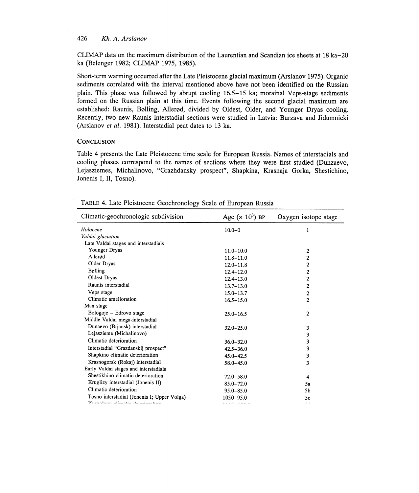## 426 Kh. A. Arslanov

CLIMAP data on the maximum distribution of the Laurentian and Scandian ice sheets at 18 ka-20 ka (Belenger 1982; CLIMAP 1975, 1985).

Short-term warming occurred after the Late Pleistocene glacial maximum (Arslanov 1975). Organic sediments correlated with the interval mentioned above have not been identified on the Russian plain. This phase was followed by abrupt cooling 16.5-15 ka; morainal Veps-stage sediments formed on the Russian plain at this time. Events following the second glacial maximum are established: Raunis, Bulling, Allerod, divided by Oldest, Older, and Younger Dryas cooling. Recently, two new Raunis interstadial sections were studied in Latvia: Burzava and Jidumnicki (Arslanov et al. 1981). Interstadial peat dates to 13 ka.

#### **CONCLUSION**

Table 4 presents the Late Pleistocene time scale for European Russia. Names of interstadials and cooling phases correspond to the names of sections where they were first studied (Dunzaevo, Lejasziemes, Michalinovo, "Grazhdansky prospect", Shapkina, Krasnaja Gorka, Shestichino, Jonenis I, II, Tosno).

| Climatic-geochronologic subdivision         | Age $(x 10^3)$ BP | Oxygen isotope stage |
|---------------------------------------------|-------------------|----------------------|
| Holocene                                    | $10.0 - 0$        | 1                    |
| Valdai glaciation                           |                   |                      |
| Late Valdai stages and interstadials        |                   |                      |
| Younger Dryas                               | $11.0 - 10.0$     | 2                    |
| Allerød                                     | $11.8 - 11.0$     | 2                    |
| Older Dryas                                 | $12.0 - 11.8$     | $\overline{c}$       |
| Bølling                                     | $12.4 - 12.0$     | 2                    |
| Oldest Dryas                                | $12.4 - 13.0$     | $\overline{c}$       |
| Raunis interstadial                         | $13.7 - 13.0$     | $\overline{c}$       |
| Veps stage                                  | $15.0 - 13.7$     | $\overline{2}$       |
| Climatic amelioration                       | $16.5 - 15.0$     | $\overline{c}$       |
| Max stage                                   |                   |                      |
| Bologoje - Edrovo stage                     | $25.0 - 16.5$     | 2                    |
| Middle Valdai mega-interstadial             |                   |                      |
| Dunaevo (Brjansk) interstadial              | $32.0 - 25.0$     | 3                    |
| Lejaszieme (Michalinovo)                    |                   | 3                    |
| Climatic deterioration                      | $36.0 - 32.0$     | 3                    |
| Interstadial "Grazdanskij prospect"         | $42.5 - 36.0$     | 3                    |
| Shapkino climatic deterioration             | $45.0 - 42.5$     | 3                    |
| Krasnogorsk (Rokaj) interstadial            | 58.0-45.0         | 3                    |
| Early Valdai stages and interstadials       |                   |                      |
| Shestikhino climatic deterioration          | $72.0 - 58.0$     | 4                    |
| Kruglizy interstadial (Jonenis II)          | $85.0 - 72.0$     | 5a                   |
| Climatic deterioration                      | $95.0 - 85.0$     | 5 <sub>b</sub>       |
| Tosno interstadial (Jonenis I; Upper Volga) | 1050-95.0         | 5c                   |
| Vuonninna alimasta dassatamitan             |                   | . .                  |

TABLE 4. Late Pleistocene Geochronology Scale of European Russia